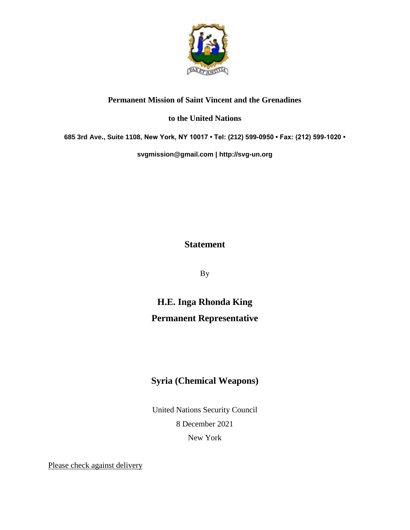

### **Permanent Mission of Saint Vincent and the Grenadines**

#### **to the United Nations**

**685 3rd Ave., Suite 1108, New York, NY 10017 • Tel: (212) 599-0950 • Fax: (212) 599-1020 •** 

**[svgmission@gmail.com](mailto:svgmission@gmail.com) | [http://svg-un.org](http://svg-un.org/)**

## **Statement**

By

# **H.E. Inga Rhonda King Permanent Representative**

## **Syria (Chemical Weapons)**

United Nations Security Council 8 December 2021 New York

Please check against delivery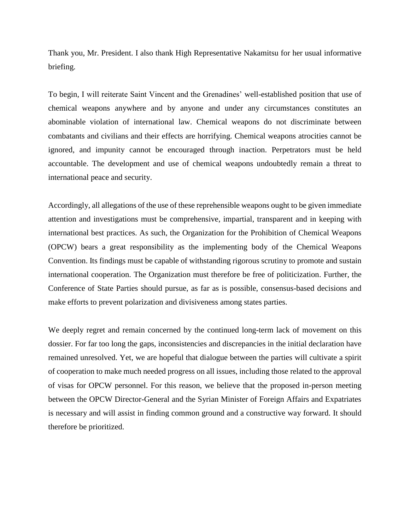Thank you, Mr. President. I also thank High Representative Nakamitsu for her usual informative briefing.

To begin, I will reiterate Saint Vincent and the Grenadines' well-established position that use of chemical weapons anywhere and by anyone and under any circumstances constitutes an abominable violation of international law. Chemical weapons do not discriminate between combatants and civilians and their effects are horrifying. Chemical weapons atrocities cannot be ignored, and impunity cannot be encouraged through inaction. Perpetrators must be held accountable. The development and use of chemical weapons undoubtedly remain a threat to international peace and security.

Accordingly, all allegations of the use of these reprehensible weapons ought to be given immediate attention and investigations must be comprehensive, impartial, transparent and in keeping with international best practices. As such, the Organization for the Prohibition of Chemical Weapons (OPCW) bears a great responsibility as the implementing body of the Chemical Weapons Convention. Its findings must be capable of withstanding rigorous scrutiny to promote and sustain international cooperation. The Organization must therefore be free of politicization. Further, the Conference of State Parties should pursue, as far as is possible, consensus-based decisions and make efforts to prevent polarization and divisiveness among states parties.

We deeply regret and remain concerned by the continued long-term lack of movement on this dossier. For far too long the gaps, inconsistencies and discrepancies in the initial declaration have remained unresolved. Yet, we are hopeful that dialogue between the parties will cultivate a spirit of cooperation to make much needed progress on all issues, including those related to the approval of visas for OPCW personnel. For this reason, we believe that the proposed in-person meeting between the OPCW Director-General and the Syrian Minister of Foreign Affairs and Expatriates is necessary and will assist in finding common ground and a constructive way forward. It should therefore be prioritized.